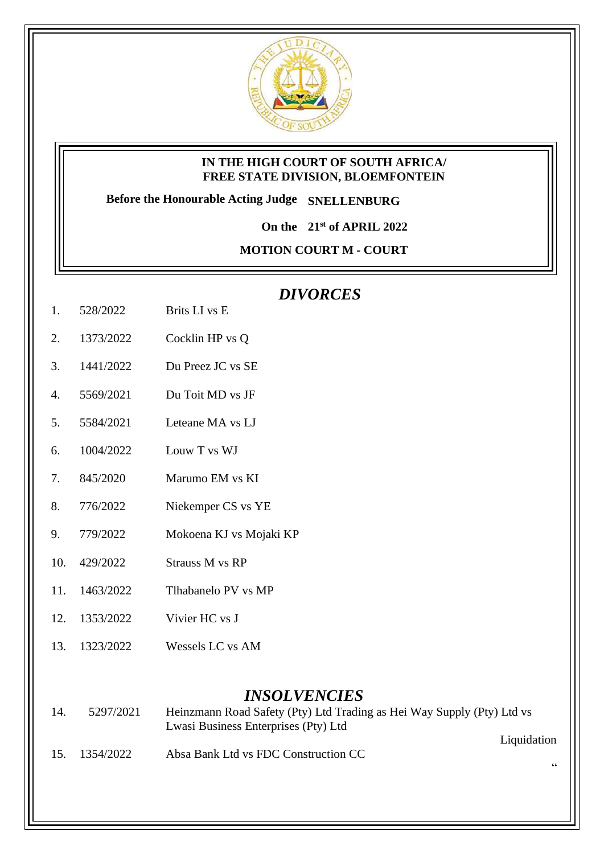

## **IN THE HIGH COURT OF SOUTH AFRICA/ FREE STATE DIVISION, BLOEMFONTEIN**

**Before the Honourable Acting Judge SNELLENBURG**

**On the 21st of APRIL 2022**

**MOTION COURT M - COURT** 

## *DIVORCES*

- 1. 528/2022 Brits LI vs E
- 2. 1373/2022 Cocklin HP vs Q
- 3. 1441/2022 Du Preez JC vs SE
- 4. 5569/2021 Du Toit MD vs JF
- 5. 5584/2021 Leteane MA vs LJ
- 6. 1004/2022 Louw T vs WJ
- 7. 845/2020 Marumo EM vs KI
- 8. 776/2022 Niekemper CS vs YE
- 9. 779/2022 Mokoena KJ vs Mojaki KP
- 10. 429/2022 Strauss M vs RP
- 11. 1463/2022 Tlhabanelo PV vs MP
- 12. 1353/2022 Vivier HC vs J
- 13. 1323/2022 Wessels LC vs AM

## *INSOLVENCIES*

- 14. 5297/2021 Heinzmann Road Safety (Pty) Ltd Trading as Hei Way Supply (Pty) Ltd vs Lwasi Business Enterprises (Pty) Ltd
- 15. 1354/2022 Absa Bank Ltd vs FDC Construction CC

Liquidation

 $\epsilon$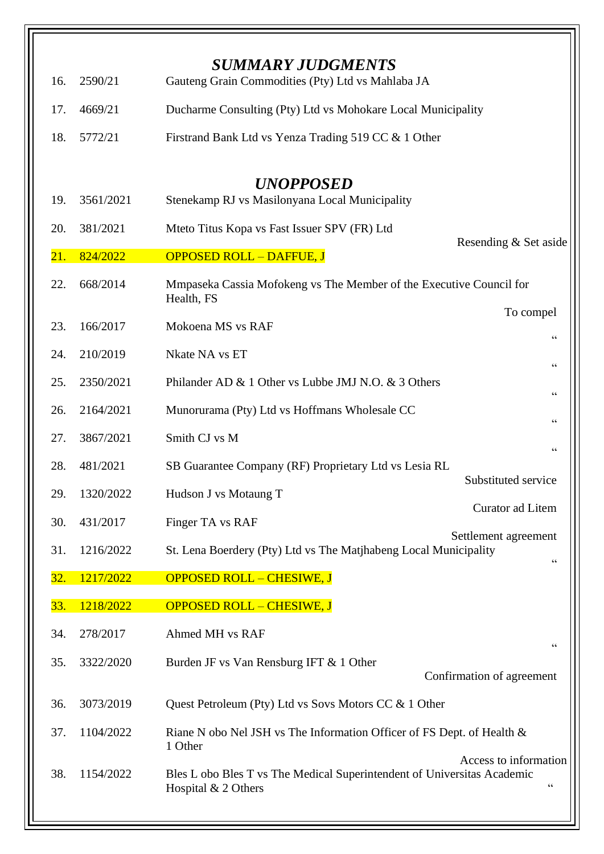| 16. | 2590/21   | <b>SUMMARY JUDGMENTS</b><br>Gauteng Grain Commodities (Pty) Ltd vs Mahlaba JA                                                   |  |  |
|-----|-----------|---------------------------------------------------------------------------------------------------------------------------------|--|--|
| 17. | 4669/21   | Ducharme Consulting (Pty) Ltd vs Mohokare Local Municipality                                                                    |  |  |
| 18. | 5772/21   | Firstrand Bank Ltd vs Yenza Trading 519 CC & 1 Other                                                                            |  |  |
|     |           |                                                                                                                                 |  |  |
| 19. | 3561/2021 | <b>UNOPPOSED</b><br>Stenekamp RJ vs Masilonyana Local Municipality                                                              |  |  |
| 20. | 381/2021  | Mteto Titus Kopa vs Fast Issuer SPV (FR) Ltd                                                                                    |  |  |
| 21. | 824/2022  | Resending & Set aside<br><b>OPPOSED ROLL - DAFFUE, J</b>                                                                        |  |  |
| 22. | 668/2014  | Mmpaseka Cassia Mofokeng vs The Member of the Executive Council for<br>Health, FS                                               |  |  |
| 23. | 166/2017  | To compel<br>Mokoena MS vs RAF                                                                                                  |  |  |
| 24. | 210/2019  | $\zeta$ $\zeta$<br>Nkate NA vs ET                                                                                               |  |  |
| 25. | 2350/2021 | $\!\!\!\zeta\,\zeta\!\!\!\zeta\!\!\!\zeta$<br>Philander AD & 1 Other vs Lubbe JMJ N.O. & 3 Others                               |  |  |
| 26. | 2164/2021 | $\zeta$ $\zeta$<br>Munorurama (Pty) Ltd vs Hoffmans Wholesale CC                                                                |  |  |
| 27. | 3867/2021 | Smith CJ vs M                                                                                                                   |  |  |
| 28. | 481/2021  | $\mbox{\bf G}$<br>SB Guarantee Company (RF) Proprietary Ltd vs Lesia RL                                                         |  |  |
| 29. | 1320/2022 | Substituted service<br>Hudson J vs Motaung T                                                                                    |  |  |
| 30. | 431/2017  | Curator ad Litem                                                                                                                |  |  |
| 31. | 1216/2022 | Finger TA vs RAF<br>Settlement agreement<br>St. Lena Boerdery (Pty) Ltd vs The Matjhabeng Local Municipality                    |  |  |
| 32. | 1217/2022 | 66<br><b>OPPOSED ROLL - CHESIWE, J</b>                                                                                          |  |  |
|     |           |                                                                                                                                 |  |  |
| 33. | 1218/2022 | <b>OPPOSED ROLL - CHESIWE, J</b>                                                                                                |  |  |
| 34. | 278/2017  | Ahmed MH vs RAF<br>$\zeta \, \zeta$                                                                                             |  |  |
| 35. | 3322/2020 | Burden JF vs Van Rensburg IFT & 1 Other<br>Confirmation of agreement                                                            |  |  |
| 36. | 3073/2019 | Quest Petroleum (Pty) Ltd vs Sovs Motors CC & 1 Other                                                                           |  |  |
| 37. | 1104/2022 | Riane N obo Nel JSH vs The Information Officer of FS Dept. of Health &<br>1 Other                                               |  |  |
| 38. | 1154/2022 | Access to information<br>Bles L obo Bles T vs The Medical Superintendent of Universitas Academic<br>66<br>Hospital $& 2$ Others |  |  |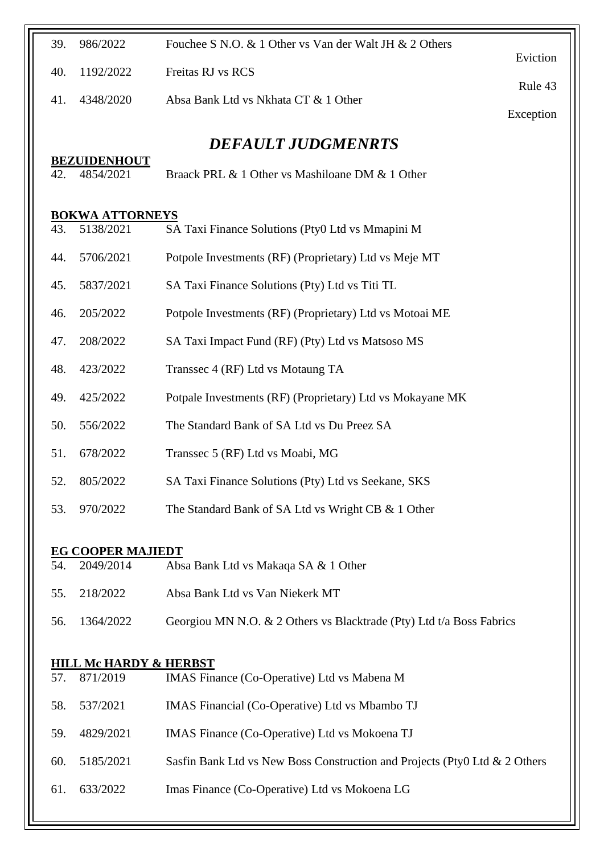| 39. | 986/2022                          | Fouchee S N.O. & 1 Other vs Van der Walt JH & 2 Others                     |           |
|-----|-----------------------------------|----------------------------------------------------------------------------|-----------|
| 40. | 1192/2022                         | Freitas RJ vs RCS                                                          | Eviction  |
| 41. | 4348/2020                         | Absa Bank Ltd vs Nkhata CT & 1 Other                                       | Rule 43   |
|     |                                   |                                                                            | Exception |
|     | <b>BEZUIDENHOUT</b>               | <b>DEFAULT JUDGMENRTS</b>                                                  |           |
| 42. | 4854/2021                         | Braack PRL & 1 Other vs Mashiloane DM & 1 Other                            |           |
|     | <b>BOKWA ATTORNEYS</b>            |                                                                            |           |
| 43. | 5138/2021                         | SA Taxi Finance Solutions (Pty0 Ltd vs Mmapini M                           |           |
| 44. | 5706/2021                         | Potpole Investments (RF) (Proprietary) Ltd vs Meje MT                      |           |
| 45. | 5837/2021                         | SA Taxi Finance Solutions (Pty) Ltd vs Titi TL                             |           |
| 46. | 205/2022                          | Potpole Investments (RF) (Proprietary) Ltd vs Motoai ME                    |           |
| 47. | 208/2022                          | SA Taxi Impact Fund (RF) (Pty) Ltd vs Matsoso MS                           |           |
| 48. | 423/2022                          | Transsec 4 (RF) Ltd vs Motaung TA                                          |           |
| 49. | 425/2022                          | Potpale Investments (RF) (Proprietary) Ltd vs Mokayane MK                  |           |
| 50. | 556/2022                          | The Standard Bank of SA Ltd vs Du Preez SA                                 |           |
| 51. | 678/2022                          | Transsec 5 (RF) Ltd vs Moabi, MG                                           |           |
| 52. | 805/2022                          | SA Taxi Finance Solutions (Pty) Ltd vs Seekane, SKS                        |           |
| 53. | 970/2022                          | The Standard Bank of SA Ltd vs Wright CB & 1 Other                         |           |
|     | <b>EG COOPER MAJIEDT</b>          |                                                                            |           |
| 54. | 2049/2014                         | Absa Bank Ltd vs Makaqa SA & 1 Other                                       |           |
| 55. | 218/2022                          | Absa Bank Ltd vs Van Niekerk MT                                            |           |
| 56. | 1364/2022                         | Georgiou MN N.O. & 2 Others vs Blacktrade (Pty) Ltd t/a Boss Fabrics       |           |
|     | <u>HILL Mc HARDY &amp; HERBST</u> |                                                                            |           |
| 57. | 871/2019                          | IMAS Finance (Co-Operative) Ltd vs Mabena M                                |           |
| 58. | 537/2021                          | IMAS Financial (Co-Operative) Ltd vs Mbambo TJ                             |           |
| 59. | 4829/2021                         | IMAS Finance (Co-Operative) Ltd vs Mokoena TJ                              |           |
| 60. | 5185/2021                         | Sasfin Bank Ltd vs New Boss Construction and Projects (Pty0 Ltd & 2 Others |           |
| 61. | 633/2022                          | Imas Finance (Co-Operative) Ltd vs Mokoena LG                              |           |
|     |                                   |                                                                            |           |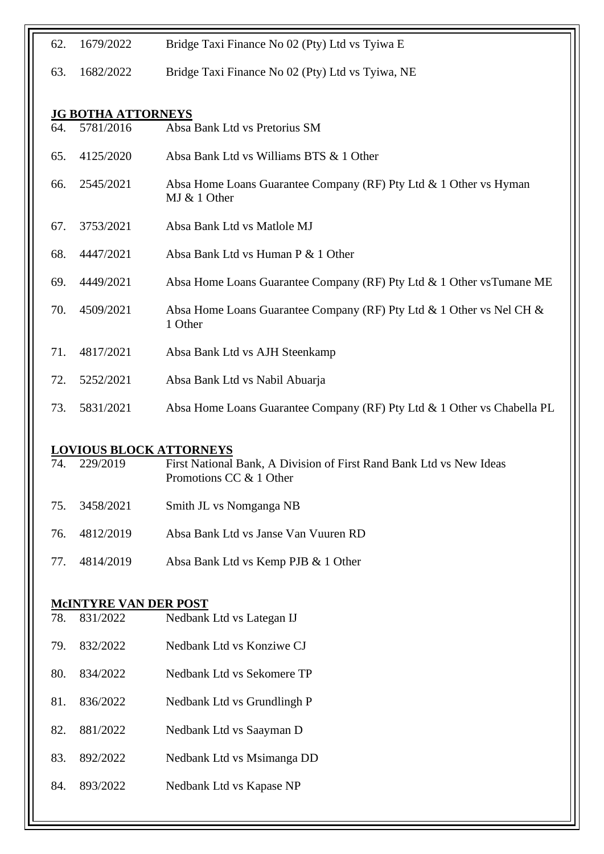| 62. | 1679/2022                              | Bridge Taxi Finance No 02 (Pty) Ltd vs Tyiwa E                                                 |
|-----|----------------------------------------|------------------------------------------------------------------------------------------------|
| 63. | 1682/2022                              | Bridge Taxi Finance No 02 (Pty) Ltd vs Tyiwa, NE                                               |
|     |                                        |                                                                                                |
| 64. | <b>JG BOTHA ATTORNEYS</b><br>5781/2016 | Absa Bank Ltd vs Pretorius SM                                                                  |
| 65. | 4125/2020                              | Absa Bank Ltd vs Williams BTS & 1 Other                                                        |
| 66. | 2545/2021                              | Absa Home Loans Guarantee Company (RF) Pty Ltd & 1 Other vs Hyman<br>MJ & 1 Other              |
| 67. | 3753/2021                              | Absa Bank Ltd vs Matlole MJ                                                                    |
| 68. | 4447/2021                              | Absa Bank Ltd vs Human P & 1 Other                                                             |
| 69. | 4449/2021                              | Absa Home Loans Guarantee Company (RF) Pty Ltd & 1 Other vsTumane ME                           |
| 70. | 4509/2021                              | Absa Home Loans Guarantee Company (RF) Pty Ltd & 1 Other vs Nel CH &<br>1 Other                |
| 71. | 4817/2021                              | Absa Bank Ltd vs AJH Steenkamp                                                                 |
| 72. | 5252/2021                              | Absa Bank Ltd vs Nabil Abuarja                                                                 |
| 73. | 5831/2021                              | Absa Home Loans Guarantee Company (RF) Pty Ltd & 1 Other vs Chabella PL                        |
|     | <b>LOVIOUS BLOCK ATTORNEYS</b>         |                                                                                                |
| 74. | 229/2019                               | First National Bank, A Division of First Rand Bank Ltd vs New Ideas<br>Promotions CC & 1 Other |
| 75. | 3458/2021                              | Smith JL vs Nomganga NB                                                                        |
| 76. | 4812/2019                              | Absa Bank Ltd vs Janse Van Vuuren RD                                                           |
| 77. | 4814/2019                              | Absa Bank Ltd vs Kemp PJB & 1 Other                                                            |
|     | <b>MCINTYRE VAN DER POST</b>           |                                                                                                |
| 78. | 831/2022                               | Nedbank Ltd vs Lategan IJ                                                                      |
| 79. | 832/2022                               | Nedbank Ltd vs Konziwe CJ                                                                      |
| 80. | 834/2022                               | Nedbank Ltd vs Sekomere TP                                                                     |
| 81. | 836/2022                               | Nedbank Ltd vs Grundlingh P                                                                    |
| 82. | 881/2022                               | Nedbank Ltd vs Saayman D                                                                       |
|     |                                        |                                                                                                |

- 83. 892/2022 Nedbank Ltd vs Msimanga DD
- 84. 893/2022 Nedbank Ltd vs Kapase NP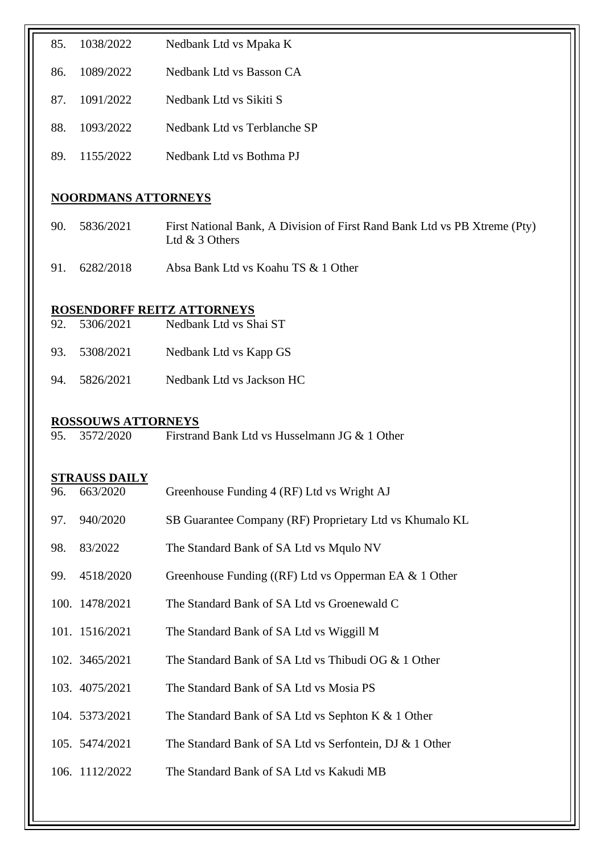| 85. | 1038/2022                  | Nedbank Ltd vs Mpaka K                                                                      |  |  |  |
|-----|----------------------------|---------------------------------------------------------------------------------------------|--|--|--|
| 86. | 1089/2022                  | Nedbank Ltd vs Basson CA                                                                    |  |  |  |
| 87. | 1091/2022                  | Nedbank Ltd vs Sikiti S                                                                     |  |  |  |
| 88. | 1093/2022                  | Nedbank Ltd vs Terblanche SP                                                                |  |  |  |
| 89. | 1155/2022                  | Nedbank Ltd vs Bothma PJ                                                                    |  |  |  |
|     | <b>NOORDMANS ATTORNEYS</b> |                                                                                             |  |  |  |
| 90. | 5836/2021                  | First National Bank, A Division of First Rand Bank Ltd vs PB Xtreme (Pty)<br>Ltd & 3 Others |  |  |  |
| 91. | 6282/2018                  | Absa Bank Ltd vs Koahu TS & 1 Other                                                         |  |  |  |
|     |                            | ROSENDORFF REITZ ATTORNEYS                                                                  |  |  |  |
| 92. | 5306/2021                  | Nedbank Ltd vs Shai ST                                                                      |  |  |  |
| 93. | 5308/2021                  | Nedbank Ltd vs Kapp GS                                                                      |  |  |  |
| 94. | 5826/2021                  | Nedbank Ltd vs Jackson HC                                                                   |  |  |  |
|     | <b>ROSSOUWS ATTORNEYS</b>  |                                                                                             |  |  |  |
| 95. | 3572/2020                  | Firstrand Bank Ltd vs Husselmann JG & 1 Other                                               |  |  |  |
|     | <b>STRAUSS DAILY</b>       |                                                                                             |  |  |  |
| 96. | 663/2020                   | Greenhouse Funding 4 (RF) Ltd vs Wright AJ                                                  |  |  |  |
| 97. | 940/2020                   | SB Guarantee Company (RF) Proprietary Ltd vs Khumalo KL                                     |  |  |  |
| 98. | 83/2022                    | The Standard Bank of SA Ltd vs Mqulo NV                                                     |  |  |  |
| 99. | 4518/2020                  | Greenhouse Funding ((RF) Ltd vs Opperman EA & 1 Other                                       |  |  |  |
|     | 100. 1478/2021             | The Standard Bank of SA Ltd vs Groenewald C                                                 |  |  |  |
|     | 101. 1516/2021             | The Standard Bank of SA Ltd vs Wiggill M                                                    |  |  |  |
|     | 102. 3465/2021             | The Standard Bank of SA Ltd vs Thibudi OG & 1 Other                                         |  |  |  |
|     | 103. 4075/2021             | The Standard Bank of SA Ltd vs Mosia PS                                                     |  |  |  |
|     | 104. 5373/2021             | The Standard Bank of SA Ltd vs Sephton K & 1 Other                                          |  |  |  |
|     | 105. 5474/2021             | The Standard Bank of SA Ltd vs Serfontein, DJ & 1 Other                                     |  |  |  |
|     | 106. 1112/2022             | The Standard Bank of SA Ltd vs Kakudi MB                                                    |  |  |  |
|     |                            |                                                                                             |  |  |  |